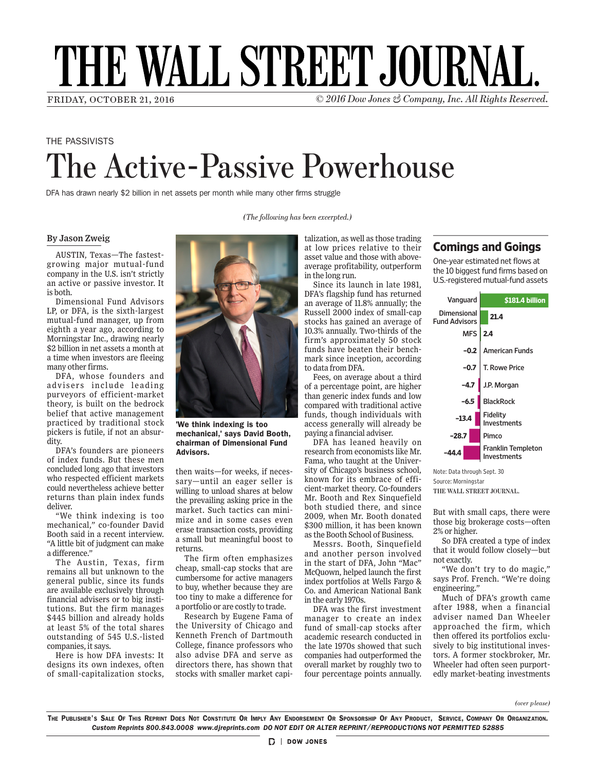# THE WALL STREET JOURNAL.

*(The following has been excerpted.)*

FRIDAY, OCTOBER 21, 2016 **COMPANY** CONSERVED **COLLEGE** *COMPANY COMPANY*, *Inc. All Rights Reserved.* 

## THE PASSIVISTS The Active-Passive Powerhouse

DFA has drawn nearly \$2 billion in net assets per month while many other firms struggle

#### *By Jason Zweig*

AUSTIN, Texas—The fastestgrowing major mutual-fund company in the U.S. isn't strictly an active or passive investor. It<br>isheth is both. nearly the state  $\frac{2}{3}$ a month at a time when inves-

both.<br>Dimensional Fund Advisors *Dimensional Fund Auvisors*<br>LP, or DFA, is the sixth-largest m, or *BTH*, is the stath largest<br>mutual-fund manager, up from matuar rand manager, ap from<br>eighth a year ago, according to ergnan a year ago, according to<br>Morningstar Inc., drawing nearly **EXECUTE FINANCIAL EXECUTE:** a time when investors are fleeing many other firms. tors are fleeing many other  $\frac{1}{6}$ advisers include leading pur- $\overline{S}$  $t_{\rm b}$ belief that active management

DFA, whose founders and advisers include leading purveyors of efficient-market theory, is built on the bedrock belief that active management practiced by traditional stock pickers is futile, if not an absurdity. pickers is futile, if not an ab-DFA's founders are pioneers of index funds. But these men concluded long ago that inves- $\mathbf t$ markets could nevertheless  $\mathcal{V}$ .

DFA's founders are pioneers of index funds. But these men concluded long ago that investors who respected efficient markets could nevertheless achieve better returns than plain index funds deliver.  $W_{\alpha}$  is too think in this too think in the set of the set of the set of the set of the set of the set of the set of the set of the set of the set of the set of the set of the set of the set of the set of the set of the mechanical," co-founder David Booth said in a recent inter-

> "We think indexing is too mechanical," co-founder David Booth said in a recent interview. "A little bit of judgment can make a difference."

> The Austin, Texas, firm remains all but unknown to the general public, since its funds are available exclusively through financial advisers or to big institutions. But the firm manages \$445 billion and already holds at least 5% of the total shares outstanding of 545 U.S.-listed companies, it says.

> Here is how DFA invests: It designs its own indexes, often of small-capitalization stocks,



chairman of Dimensional Fund Advisors. 'We think indexing is too mechanical,' says David Booth,

then waits—for weeks, if necessary—until an eager seller is willing to unload shares at below the prevailing asking price in the market. Such tactics can minimize and in some cases even erase transaction costs, providing a small but meaningful boost to returns.

The firm often emphasizes cheap, small-cap stocks that are cumbersome for active managers to buy, whether because they are too tiny to make a difference for a portfolio or are costly to trade.

Research by Eugene Fama of the University of Chicago and Kenneth French of Dartmouth College, finance professors who also advise DFA and serve as directors there, has shown that stocks with smaller market capitalization, as well as those trading at low prices relative to their asset value and those with aboveaverage profitability, outperform in the long run.

Since its launch in late  $1981$ , DFA's flagship fund has returned an average of  $11.8\%$  annually; the  $\Gamma$ Russell 2000 index of small-cap stocks has gained an average of stocks nas gamed an average or<br>10.3% annually. Two-thirds of the 10.5% annuany. Two timus of the<br>firm's approximately 50 stock funds approximately 50 stock rands have seaten their senen-<br>mark since inception, according mark since mee<sub>r</sub><br>to data from DFA.

.................<br>Fees, on average about a third of a percentage point, are higher than generic index funds and low compared with traditional active funds, though individuals with access generally will already be paying a financial adviser.

DFA has leaned heavily on research from economists like Mr. Fama, who taught at the University of Chicago's business school, known for its embrace of efficient-market theory. Co-founders **graphics.wsj.com/passivists** Mr. Booth and Rex Sinquefield both studied there, and since 2009, when Mr. Booth donated \$300 million, it has been known as the Booth School of Business.

Messrs. Booth, Sinquefield and another person involved in the start of DFA, John "Mac" McQuown, helped launch the first index portfolios at Wells Fargo & Co. and American National Bank in the early 1970s.

DFA was the first investment manager to create an index fund of small-cap stocks after academic research conducted in the late 1970s showed that such companies had outperformed the overall market by roughly two to four percentage points annually.

### **Comings and Goings**

One-year estimated net flows at the 10 biggest fund firms based on U.S.-registered mutual-fund assets



**THE WALL STREET JOURNAL.** Source: Morningstar Note: Data through Sept. 30

But with small caps, there were those big brokerage costs—often 2% or higher.

So DFA created a type of index that it would follow closely—but not exactly.

"We don't try to do magic," says Prof. French. "We're doing engineering."

Much of DFA's growth came after 1988, when a financial adviser named Dan Wheeler approached the firm, which then offered its portfolios exclusively to big institutional investors. A former stockbroker, Mr. Wheeler had often seen purportedly market-beating investments

*(over please)*

The Publisher's Sale Of This Reprint Does Not Constitute Or Imply Any Endorsement Or Sponsorship Of Any Product, Service, Company Or Organization. *Custom Reprints 800.843.0008 www.djreprints.com DO NOT EDIT OR ALTER REPRINT/REPRODUCTIONS NOT PERMITTED 52885*